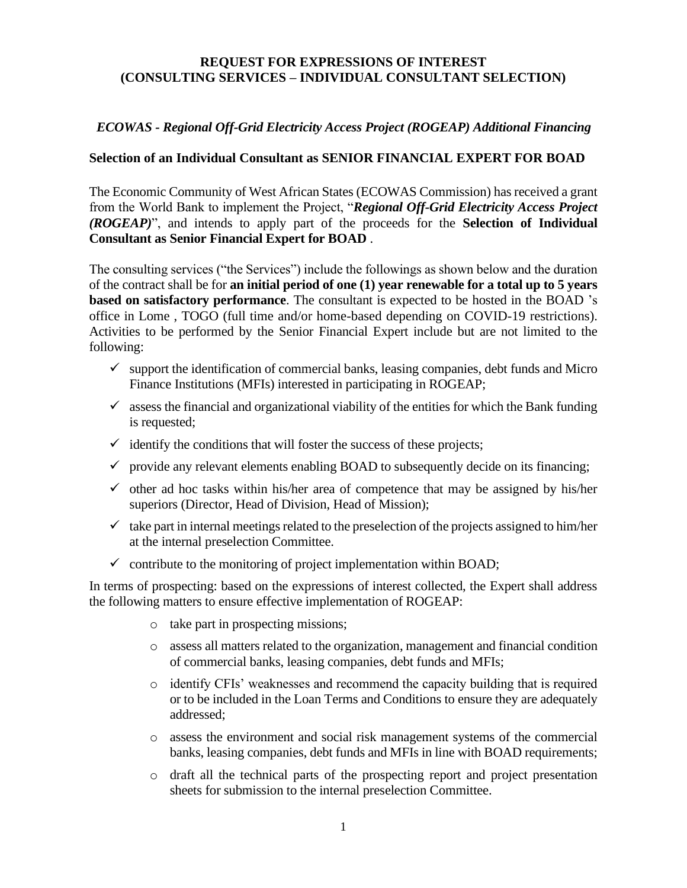### **REQUEST FOR EXPRESSIONS OF INTEREST (CONSULTING SERVICES – INDIVIDUAL CONSULTANT SELECTION)**

### *ECOWAS - Regional Off-Grid Electricity Access Project (ROGEAP) Additional Financing*

### **Selection of an Individual Consultant as SENIOR FINANCIAL EXPERT FOR BOAD**

The Economic Community of West African States (ECOWAS Commission) has received a grant from the World Bank to implement the Project, "*Regional Off-Grid Electricity Access Project (ROGEAP)*", and intends to apply part of the proceeds for the **Selection of Individual Consultant as Senior Financial Expert for BOAD** .

The consulting services ("the Services") include the followings as shown below and the duration of the contract shall be for **an initial period of one (1) year renewable for a total up to 5 years based on satisfactory performance**. The consultant is expected to be hosted in the BOAD 's office in Lome , TOGO (full time and/or home-based depending on COVID-19 restrictions). Activities to be performed by the Senior Financial Expert include but are not limited to the following:

- $\checkmark$  support the identification of commercial banks, leasing companies, debt funds and Micro Finance Institutions (MFIs) interested in participating in ROGEAP;
- $\checkmark$  assess the financial and organizational viability of the entities for which the Bank funding is requested;
- $\checkmark$  identify the conditions that will foster the success of these projects;
- $\checkmark$  provide any relevant elements enabling BOAD to subsequently decide on its financing;
- $\checkmark$  other ad hoc tasks within his/her area of competence that may be assigned by his/her superiors (Director, Head of Division, Head of Mission);
- $\checkmark$  take part in internal meetings related to the preselection of the projects assigned to him/her at the internal preselection Committee.
- $\checkmark$  contribute to the monitoring of project implementation within BOAD;

In terms of prospecting: based on the expressions of interest collected, the Expert shall address the following matters to ensure effective implementation of ROGEAP:

- o take part in prospecting missions;
- o assess all matters related to the organization, management and financial condition of commercial banks, leasing companies, debt funds and MFIs;
- o identify CFIs' weaknesses and recommend the capacity building that is required or to be included in the Loan Terms and Conditions to ensure they are adequately addressed;
- o assess the environment and social risk management systems of the commercial banks, leasing companies, debt funds and MFIs in line with BOAD requirements;
- o draft all the technical parts of the prospecting report and project presentation sheets for submission to the internal preselection Committee.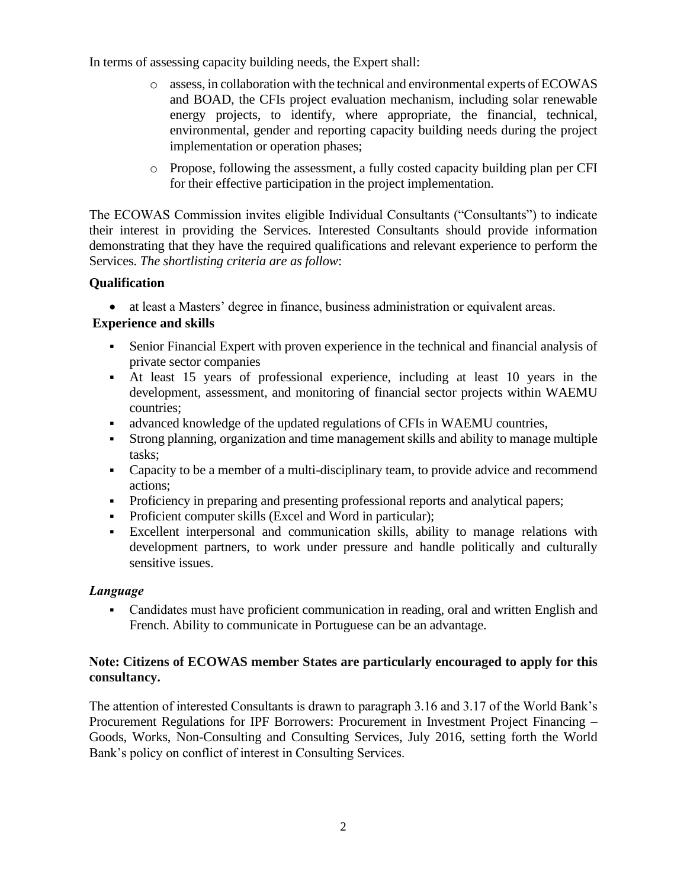In terms of assessing capacity building needs, the Expert shall:

- o assess, in collaboration with the technical and environmental experts of ECOWAS and BOAD, the CFIs project evaluation mechanism, including solar renewable energy projects, to identify, where appropriate, the financial, technical, environmental, gender and reporting capacity building needs during the project implementation or operation phases;
- o Propose, following the assessment, a fully costed capacity building plan per CFI for their effective participation in the project implementation.

The ECOWAS Commission invites eligible Individual Consultants ("Consultants") to indicate their interest in providing the Services. Interested Consultants should provide information demonstrating that they have the required qualifications and relevant experience to perform the Services. *The shortlisting criteria are as follow*:

## **Qualification**

• at least a Masters' degree in finance, business administration or equivalent areas.

# **Experience and skills**

- Senior Financial Expert with proven experience in the technical and financial analysis of private sector companies
- At least 15 years of professional experience, including at least 10 years in the development, assessment, and monitoring of financial sector projects within WAEMU countries;
- advanced knowledge of the updated regulations of CFIs in WAEMU countries,
- Strong planning, organization and time management skills and ability to manage multiple tasks;
- Capacity to be a member of a multi-disciplinary team, to provide advice and recommend actions;
- Proficiency in preparing and presenting professional reports and analytical papers;
- Proficient computer skills (Excel and Word in particular);
- Excellent interpersonal and communication skills, ability to manage relations with development partners, to work under pressure and handle politically and culturally sensitive issues.

## *Language*

• Candidates must have proficient communication in reading, oral and written English and French. Ability to communicate in Portuguese can be an advantage.

## **Note: Citizens of ECOWAS member States are particularly encouraged to apply for this consultancy.**

The attention of interested Consultants is drawn to paragraph 3.16 and 3.17 of the World Bank's Procurement Regulations for IPF Borrowers: Procurement in Investment Project Financing – Goods, Works, Non-Consulting and Consulting Services, July 2016, setting forth the World Bank's policy on conflict of interest in Consulting Services.